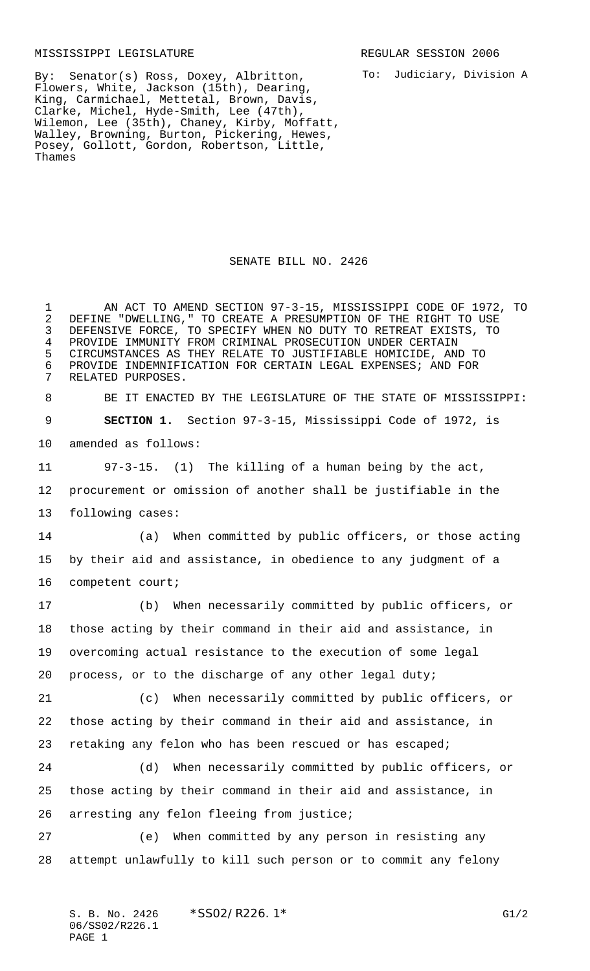## MISSISSIPPI LEGISLATURE **REGULAR SESSION 2006**

To: Judiciary, Division A

By: Senator(s) Ross, Doxey, Albritton, Flowers, White, Jackson (15th), Dearing, King, Carmichael, Mettetal, Brown, Davis, Clarke, Michel, Hyde-Smith, Lee (47th), Wilemon, Lee (35th), Chaney, Kirby, Moffatt, Walley, Browning, Burton, Pickering, Hewes, Posey, Gollott, Gordon, Robertson, Little, Thames

## SENATE BILL NO. 2426

 AN ACT TO AMEND SECTION 97-3-15, MISSISSIPPI CODE OF 1972, TO 2 DEFINE "DWELLING," TO CREATE A PRESUMPTION OF THE RIGHT TO USE<br>3 DEFENSIVE FORCE, TO SPECIFY WHEN NO DUTY TO RETREAT EXISTS, TO DEFENSIVE FORCE, TO SPECIFY WHEN NO DUTY TO RETREAT EXISTS, TO PROVIDE IMMUNITY FROM CRIMINAL PROSECUTION UNDER CERTAIN CIRCUMSTANCES AS THEY RELATE TO JUSTIFIABLE HOMICIDE, AND TO 6 PROVIDE INDEMNIFICATION FOR CERTAIN LEGAL EXPENSES; AND FOR<br>7 RELATED PURPOSES. RELATED PURPOSES. BE IT ENACTED BY THE LEGISLATURE OF THE STATE OF MISSISSIPPI: **SECTION 1.** Section 97-3-15, Mississippi Code of 1972, is amended as follows: 97-3-15. (1) The killing of a human being by the act, procurement or omission of another shall be justifiable in the following cases: (a) When committed by public officers, or those acting by their aid and assistance, in obedience to any judgment of a competent court; (b) When necessarily committed by public officers, or those acting by their command in their aid and assistance, in overcoming actual resistance to the execution of some legal process, or to the discharge of any other legal duty; (c) When necessarily committed by public officers, or those acting by their command in their aid and assistance, in retaking any felon who has been rescued or has escaped; (d) When necessarily committed by public officers, or those acting by their command in their aid and assistance, in arresting any felon fleeing from justice; (e) When committed by any person in resisting any attempt unlawfully to kill such person or to commit any felony

S. B. No. 2426 \* SS02/R226.1\* G1/2 06/SS02/R226.1 PAGE 1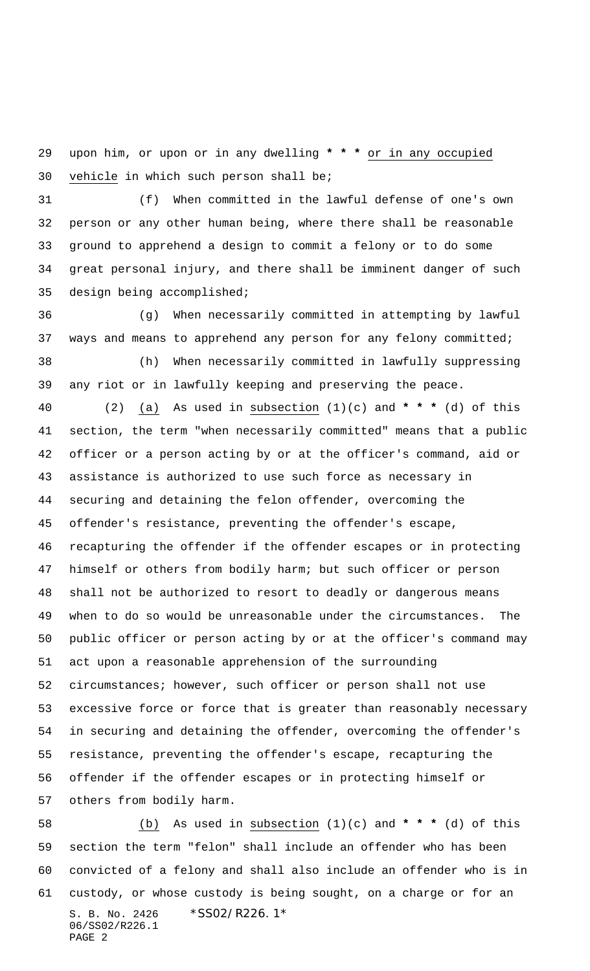upon him, or upon or in any dwelling **\*\*\*** or in any occupied vehicle in which such person shall be;

 (f) When committed in the lawful defense of one's own person or any other human being, where there shall be reasonable ground to apprehend a design to commit a felony or to do some great personal injury, and there shall be imminent danger of such design being accomplished;

 (g) When necessarily committed in attempting by lawful ways and means to apprehend any person for any felony committed; (h) When necessarily committed in lawfully suppressing any riot or in lawfully keeping and preserving the peace.

 (2) (a) As used in subsection (1)(c) and **\*\*\*** (d) of this section, the term "when necessarily committed" means that a public officer or a person acting by or at the officer's command, aid or assistance is authorized to use such force as necessary in securing and detaining the felon offender, overcoming the offender's resistance, preventing the offender's escape, recapturing the offender if the offender escapes or in protecting himself or others from bodily harm; but such officer or person shall not be authorized to resort to deadly or dangerous means when to do so would be unreasonable under the circumstances. The public officer or person acting by or at the officer's command may act upon a reasonable apprehension of the surrounding circumstances; however, such officer or person shall not use excessive force or force that is greater than reasonably necessary in securing and detaining the offender, overcoming the offender's resistance, preventing the offender's escape, recapturing the offender if the offender escapes or in protecting himself or others from bodily harm.

S. B. No. 2426 \*SS02/R226.1\* 06/SS02/R226.1 PAGE 2 (b) As used in subsection (1)(c) and **\*\*\*** (d) of this section the term "felon" shall include an offender who has been convicted of a felony and shall also include an offender who is in custody, or whose custody is being sought, on a charge or for an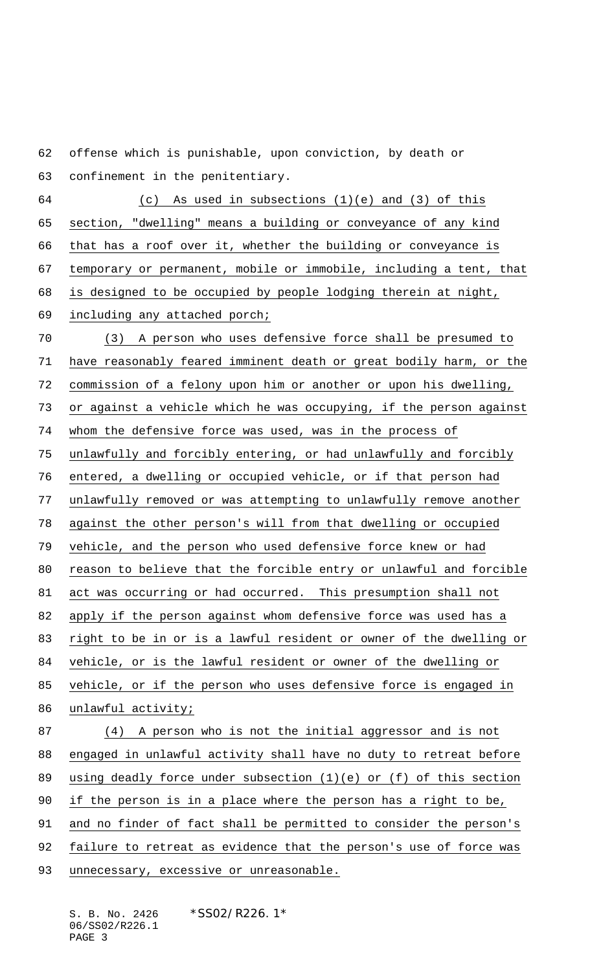offense which is punishable, upon conviction, by death or

confinement in the penitentiary.

 (c) As used in subsections (1)(e) and (3) of this section, "dwelling" means a building or conveyance of any kind that has a roof over it, whether the building or conveyance is temporary or permanent, mobile or immobile, including a tent, that is designed to be occupied by people lodging therein at night, including any attached porch; (3) A person who uses defensive force shall be presumed to have reasonably feared imminent death or great bodily harm, or the

commission of a felony upon him or another or upon his dwelling,

or against a vehicle which he was occupying, if the person against

whom the defensive force was used, was in the process of

unlawfully and forcibly entering, or had unlawfully and forcibly

entered, a dwelling or occupied vehicle, or if that person had

unlawfully removed or was attempting to unlawfully remove another

against the other person's will from that dwelling or occupied

vehicle, and the person who used defensive force knew or had

reason to believe that the forcible entry or unlawful and forcible

act was occurring or had occurred. This presumption shall not

apply if the person against whom defensive force was used has a

right to be in or is a lawful resident or owner of the dwelling or

vehicle, or is the lawful resident or owner of the dwelling or

vehicle, or if the person who uses defensive force is engaged in

86 unlawful activity;

 (4) A person who is not the initial aggressor and is not engaged in unlawful activity shall have no duty to retreat before using deadly force under subsection (1)(e) or (f) of this section if the person is in a place where the person has a right to be, and no finder of fact shall be permitted to consider the person's failure to retreat as evidence that the person's use of force was 93 unnecessary, excessive or unreasonable.

S. B. No. 2426 \* SS02/R226.1\* 06/SS02/R226.1 PAGE 3